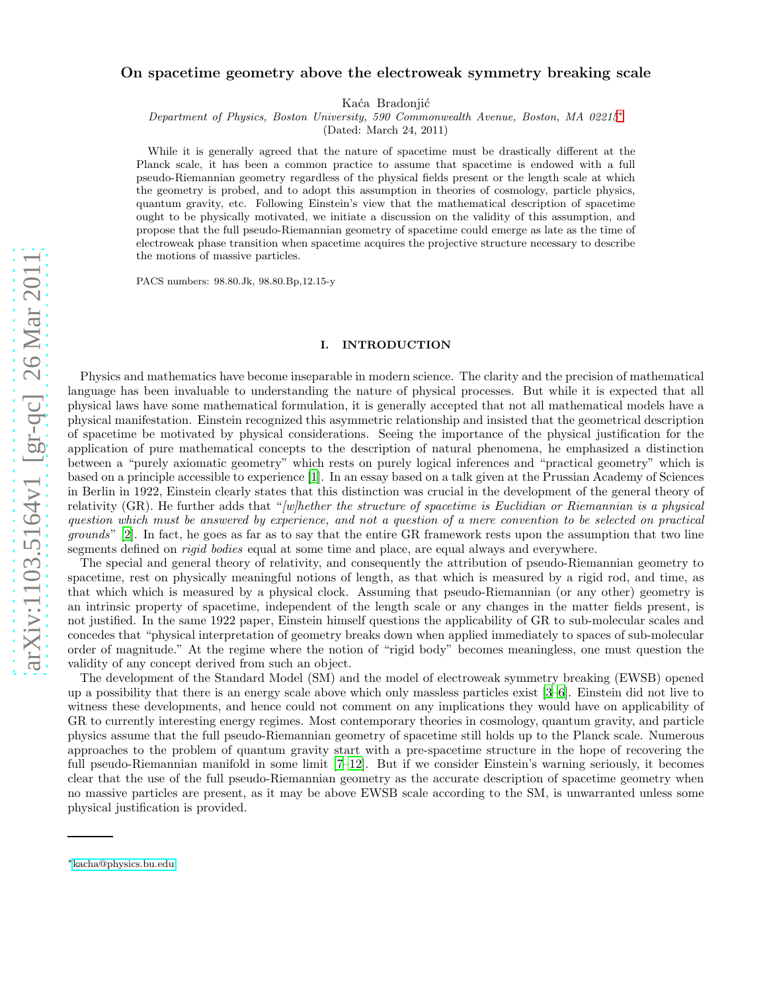# On spacetime geometry above the electroweak symmetry breaking scale

Kaća Bradonjić

Department of Physics, Boston University, 590 Commonwealth Avenue, Boston, MA 02215[∗](#page-0-0)

(Dated: March 24, 2011)

While it is generally agreed that the nature of spacetime must be drastically different at the Planck scale, it has been a common practice to assume that spacetime is endowed with a full pseudo-Riemannian geometry regardless of the physical fields present or the length scale at which the geometry is probed, and to adopt this assumption in theories of cosmology, particle physics, quantum gravity, etc. Following Einstein's view that the mathematical description of spacetime ought to be physically motivated, we initiate a discussion on the validity of this assumption, and propose that the full pseudo-Riemannian geometry of spacetime could emerge as late as the time of electroweak phase transition when spacetime acquires the projective structure necessary to describe the motions of massive particles.

PACS numbers: 98.80.Jk, 98.80.Bp,12.15-y

### I. INTRODUCTION

Physics and mathematics have become inseparable in modern science. The clarity and the precision of mathematical language has been invaluable to understanding the nature of physical processes. But while it is expected that all physical laws have some mathematical formulation, it is generally accepted that not all mathematical models have a physical manifestation. Einstein recognized this asymmetric relationship and insisted that the geometrical description of spacetime be motivated by physical considerations. Seeing the importance of the physical justification for the application of pure mathematical concepts to the description of natural phenomena, he emphasized a distinction between a "purely axiomatic geometry" which rests on purely logical inferences and "practical geometry" which is based on a principle accessible to experience [\[1](#page-3-0)]. In an essay based on a talk given at the Prussian Academy of Sciences in Berlin in 1922, Einstein clearly states that this distinction was crucial in the development of the general theory of relativity (GR). He further adds that "[w]hether the structure of spacetime is Euclidian or Riemannian is a physical question which must be answered by experience, and not a question of a mere convention to be selected on practical grounds" [\[2](#page-3-1)]. In fact, he goes as far as to say that the entire GR framework rests upon the assumption that two line segments defined on *rigid bodies* equal at some time and place, are equal always and everywhere.

The special and general theory of relativity, and consequently the attribution of pseudo-Riemannian geometry to spacetime, rest on physically meaningful notions of length, as that which is measured by a rigid rod, and time, as that which which is measured by a physical clock. Assuming that pseudo-Riemannian (or any other) geometry is an intrinsic property of spacetime, independent of the length scale or any changes in the matter fields present, is not justified. In the same 1922 paper, Einstein himself questions the applicability of GR to sub-molecular scales and concedes that "physical interpretation of geometry breaks down when applied immediately to spaces of sub-molecular order of magnitude." At the regime where the notion of "rigid body" becomes meaningless, one must question the validity of any concept derived from such an object.

The development of the Standard Model (SM) and the model of electroweak symmetry breaking (EWSB) opened up a possibility that there is an energy scale above which only massless particles exist [\[3](#page-3-2)[–6\]](#page-3-3). Einstein did not live to witness these developments, and hence could not comment on any implications they would have on applicability of GR to currently interesting energy regimes. Most contemporary theories in cosmology, quantum gravity, and particle physics assume that the full pseudo-Riemannian geometry of spacetime still holds up to the Planck scale. Numerous approaches to the problem of quantum gravity start with a pre-spacetime structure in the hope of recovering the full pseudo-Riemannian manifold in some limit [\[7](#page-3-4)[–12\]](#page-3-5). But if we consider Einstein's warning seriously, it becomes clear that the use of the full pseudo-Riemannian geometry as the accurate description of spacetime geometry when no massive particles are present, as it may be above EWSB scale according to the SM, is unwarranted unless some physical justification is provided.

<span id="page-0-0"></span><sup>∗</sup>[kacha@physics.bu.edu](mailto:kacha@physics.bu.edu)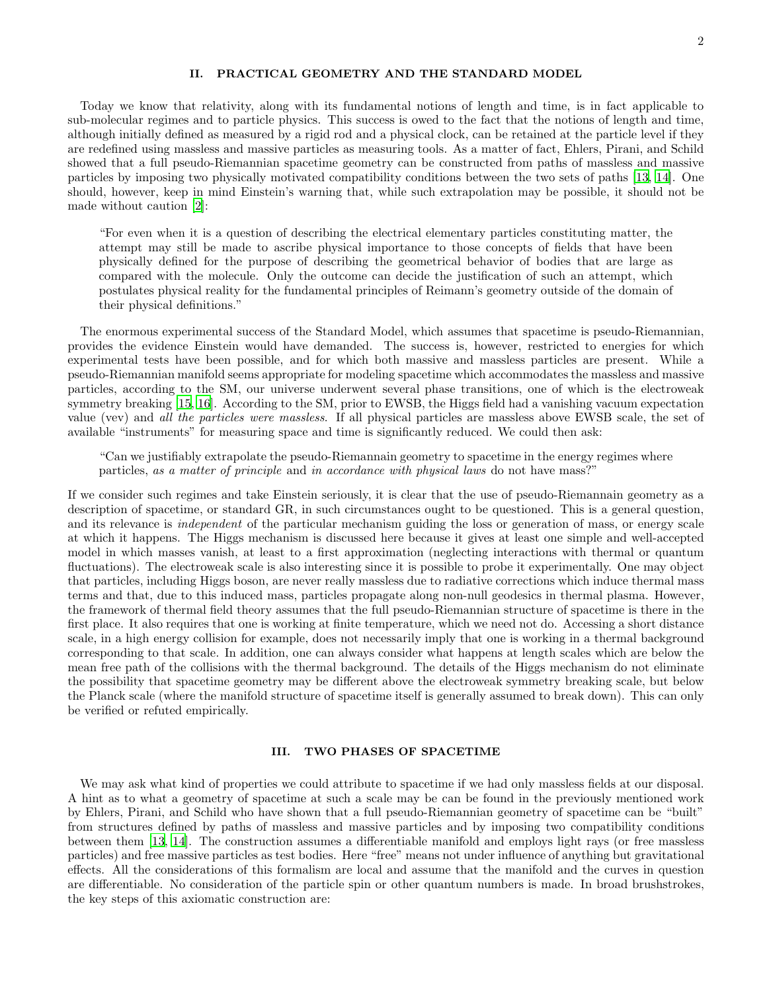## II. PRACTICAL GEOMETRY AND THE STANDARD MODEL

Today we know that relativity, along with its fundamental notions of length and time, is in fact applicable to sub-molecular regimes and to particle physics. This success is owed to the fact that the notions of length and time, although initially defined as measured by a rigid rod and a physical clock, can be retained at the particle level if they are redefined using massless and massive particles as measuring tools. As a matter of fact, Ehlers, Pirani, and Schild showed that a full pseudo-Riemannian spacetime geometry can be constructed from paths of massless and massive particles by imposing two physically motivated compatibility conditions between the two sets of paths [\[13,](#page-3-6) [14\]](#page-3-7). One should, however, keep in mind Einstein's warning that, while such extrapolation may be possible, it should not be made without caution [\[2\]](#page-3-1):

"For even when it is a question of describing the electrical elementary particles constituting matter, the attempt may still be made to ascribe physical importance to those concepts of fields that have been physically defined for the purpose of describing the geometrical behavior of bodies that are large as compared with the molecule. Only the outcome can decide the justification of such an attempt, which postulates physical reality for the fundamental principles of Reimann's geometry outside of the domain of their physical definitions."

The enormous experimental success of the Standard Model, which assumes that spacetime is pseudo-Riemannian, provides the evidence Einstein would have demanded. The success is, however, restricted to energies for which experimental tests have been possible, and for which both massive and massless particles are present. While a pseudo-Riemannian manifold seems appropriate for modeling spacetime which accommodates the massless and massive particles, according to the SM, our universe underwent several phase transitions, one of which is the electroweak symmetry breaking [\[15,](#page-3-8) [16\]](#page-3-9). According to the SM, prior to EWSB, the Higgs field had a vanishing vacuum expectation value (vev) and all the particles were massless. If all physical particles are massless above EWSB scale, the set of available "instruments" for measuring space and time is significantly reduced. We could then ask:

"Can we justifiably extrapolate the pseudo-Riemannain geometry to spacetime in the energy regimes where particles, as a matter of principle and in accordance with physical laws do not have mass?"

If we consider such regimes and take Einstein seriously, it is clear that the use of pseudo-Riemannain geometry as a description of spacetime, or standard GR, in such circumstances ought to be questioned. This is a general question, and its relevance is *independent* of the particular mechanism guiding the loss or generation of mass, or energy scale at which it happens. The Higgs mechanism is discussed here because it gives at least one simple and well-accepted model in which masses vanish, at least to a first approximation (neglecting interactions with thermal or quantum fluctuations). The electroweak scale is also interesting since it is possible to probe it experimentally. One may object that particles, including Higgs boson, are never really massless due to radiative corrections which induce thermal mass terms and that, due to this induced mass, particles propagate along non-null geodesics in thermal plasma. However, the framework of thermal field theory assumes that the full pseudo-Riemannian structure of spacetime is there in the first place. It also requires that one is working at finite temperature, which we need not do. Accessing a short distance scale, in a high energy collision for example, does not necessarily imply that one is working in a thermal background corresponding to that scale. In addition, one can always consider what happens at length scales which are below the mean free path of the collisions with the thermal background. The details of the Higgs mechanism do not eliminate the possibility that spacetime geometry may be different above the electroweak symmetry breaking scale, but below the Planck scale (where the manifold structure of spacetime itself is generally assumed to break down). This can only be verified or refuted empirically.

### III. TWO PHASES OF SPACETIME

We may ask what kind of properties we could attribute to spacetime if we had only massless fields at our disposal. A hint as to what a geometry of spacetime at such a scale may be can be found in the previously mentioned work by Ehlers, Pirani, and Schild who have shown that a full pseudo-Riemannian geometry of spacetime can be "built" from structures defined by paths of massless and massive particles and by imposing two compatibility conditions between them [\[13,](#page-3-6) [14\]](#page-3-7). The construction assumes a differentiable manifold and employs light rays (or free massless particles) and free massive particles as test bodies. Here "free" means not under influence of anything but gravitational effects. All the considerations of this formalism are local and assume that the manifold and the curves in question are differentiable. No consideration of the particle spin or other quantum numbers is made. In broad brushstrokes, the key steps of this axiomatic construction are: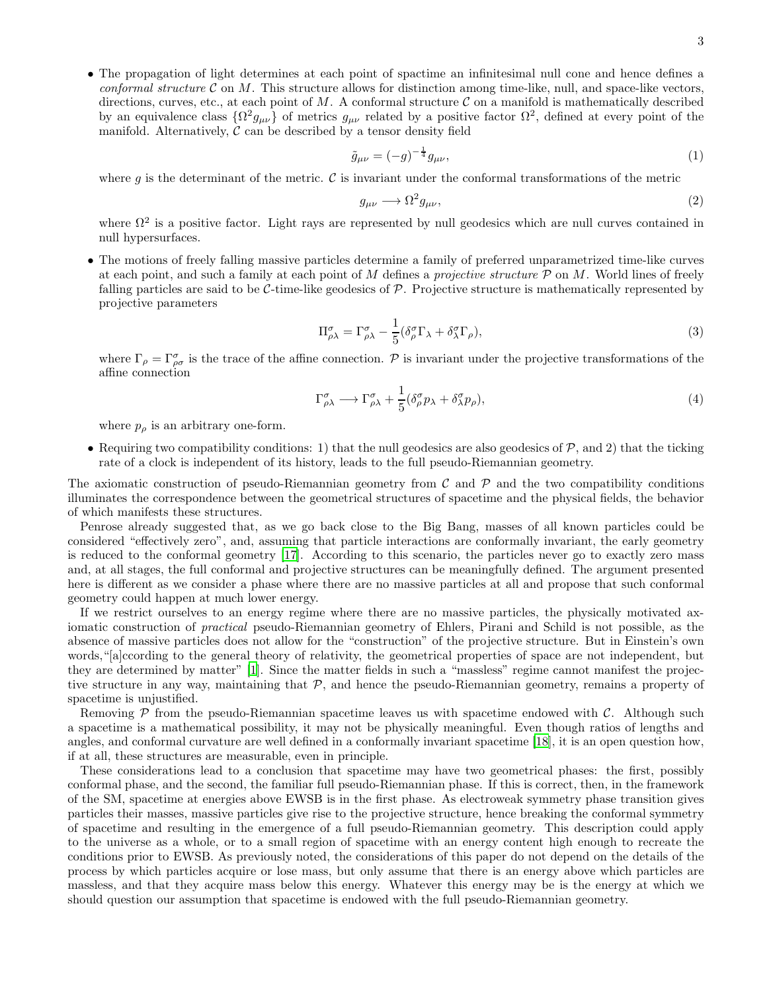• The propagation of light determines at each point of spactime an infinitesimal null cone and hence defines a conformal structure  $\mathcal C$  on  $M$ . This structure allows for distinction among time-like, null, and space-like vectors, directions, curves, etc., at each point of M. A conformal structure  $\mathcal C$  on a manifold is mathematically described by an equivalence class  $\{\Omega^2 g_{\mu\nu}\}\$  of metrics  $g_{\mu\nu}$  related by a positive factor  $\Omega^2$ , defined at every point of the manifold. Alternatively,  $\mathcal C$  can be described by a tensor density field

$$
\tilde{g}_{\mu\nu} = (-g)^{-\frac{1}{4}} g_{\mu\nu},\tag{1}
$$

where q is the determinant of the metric.  $\mathcal C$  is invariant under the conformal transformations of the metric

$$
g_{\mu\nu} \longrightarrow \Omega^2 g_{\mu\nu},\tag{2}
$$

where  $\Omega^2$  is a positive factor. Light rays are represented by null geodesics which are null curves contained in null hypersurfaces.

• The motions of freely falling massive particles determine a family of preferred unparametrized time-like curves at each point, and such a family at each point of M defines a *projective structure*  $P$  on M. World lines of freely falling particles are said to be  $\mathcal{C}\text{-time-like geodesics of }\mathcal{P}$ . Projective structure is mathematically represented by projective parameters

$$
\Pi^{\sigma}_{\rho\lambda} = \Gamma^{\sigma}_{\rho\lambda} - \frac{1}{5} (\delta^{\sigma}_{\rho} \Gamma_{\lambda} + \delta^{\sigma}_{\lambda} \Gamma_{\rho}),
$$
\n(3)

where  $\Gamma_{\rho} = \Gamma^{\sigma}_{\rho\sigma}$  is the trace of the affine connection. P is invariant under the projective transformations of the affine connection

$$
\Gamma^{\sigma}_{\rho\lambda} \longrightarrow \Gamma^{\sigma}_{\rho\lambda} + \frac{1}{5} (\delta^{\sigma}_{\rho} p_{\lambda} + \delta^{\sigma}_{\lambda} p_{\rho}), \tag{4}
$$

where  $p_{\rho}$  is an arbitrary one-form.

• Requiring two compatibility conditions: 1) that the null geodesics are also geodesics of  $P$ , and 2) that the ticking rate of a clock is independent of its history, leads to the full pseudo-Riemannian geometry.

The axiomatic construction of pseudo-Riemannian geometry from  $\mathcal C$  and  $\mathcal P$  and the two compatibility conditions illuminates the correspondence between the geometrical structures of spacetime and the physical fields, the behavior of which manifests these structures.

Penrose already suggested that, as we go back close to the Big Bang, masses of all known particles could be considered "effectively zero", and, assuming that particle interactions are conformally invariant, the early geometry is reduced to the conformal geometry [\[17\]](#page-3-10). According to this scenario, the particles never go to exactly zero mass and, at all stages, the full conformal and projective structures can be meaningfully defined. The argument presented here is different as we consider a phase where there are no massive particles at all and propose that such conformal geometry could happen at much lower energy.

If we restrict ourselves to an energy regime where there are no massive particles, the physically motivated axiomatic construction of *practical* pseudo-Riemannian geometry of Ehlers, Pirani and Schild is not possible, as the absence of massive particles does not allow for the "construction" of the projective structure. But in Einstein's own words,"[a]ccording to the general theory of relativity, the geometrical properties of space are not independent, but they are determined by matter" [\[1\]](#page-3-0). Since the matter fields in such a "massless" regime cannot manifest the projective structure in any way, maintaining that  $P$ , and hence the pseudo-Riemannian geometry, remains a property of spacetime is unjustified.

Removing  $P$  from the pseudo-Riemannian spacetime leaves us with spacetime endowed with  $C$ . Although such a spacetime is a mathematical possibility, it may not be physically meaningful. Even though ratios of lengths and angles, and conformal curvature are well defined in a conformally invariant spacetime [\[18\]](#page-3-11), it is an open question how, if at all, these structures are measurable, even in principle.

These considerations lead to a conclusion that spacetime may have two geometrical phases: the first, possibly conformal phase, and the second, the familiar full pseudo-Riemannian phase. If this is correct, then, in the framework of the SM, spacetime at energies above EWSB is in the first phase. As electroweak symmetry phase transition gives particles their masses, massive particles give rise to the projective structure, hence breaking the conformal symmetry of spacetime and resulting in the emergence of a full pseudo-Riemannian geometry. This description could apply to the universe as a whole, or to a small region of spacetime with an energy content high enough to recreate the conditions prior to EWSB. As previously noted, the considerations of this paper do not depend on the details of the process by which particles acquire or lose mass, but only assume that there is an energy above which particles are massless, and that they acquire mass below this energy. Whatever this energy may be is the energy at which we should question our assumption that spacetime is endowed with the full pseudo-Riemannian geometry.